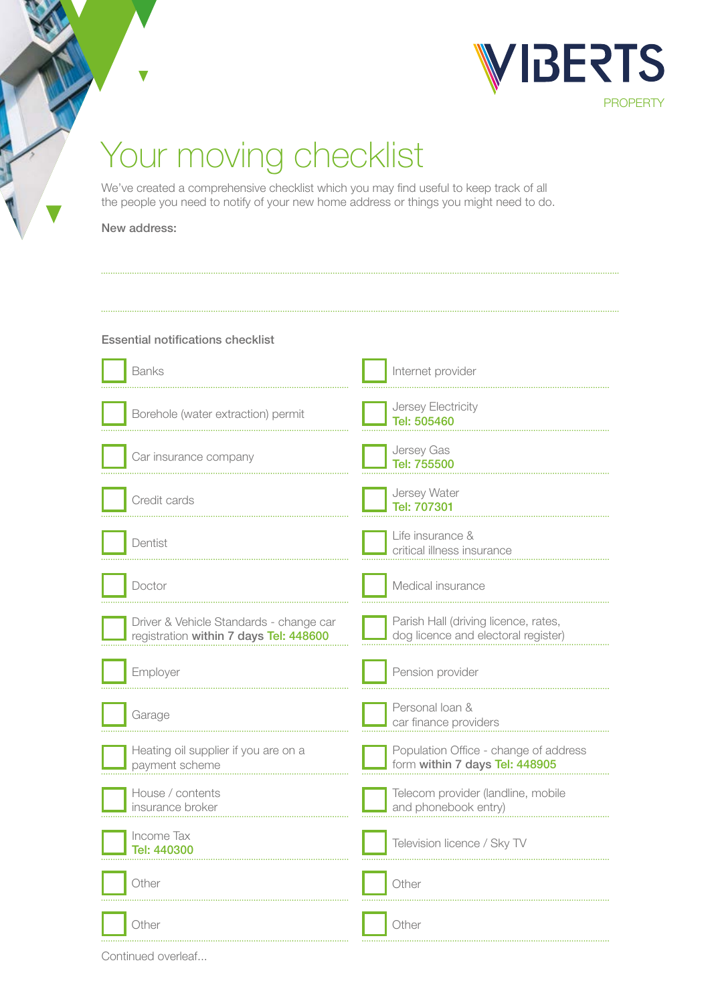

# Your moving checklist

We've created a comprehensive checklist which you may find useful to keep track of all the people you need to notify of your new home address or things you might need to do.

#### New address:

# Essential notifications checklist

| <b>Banks</b>                                                                      | Internet provider                                                           |
|-----------------------------------------------------------------------------------|-----------------------------------------------------------------------------|
| Borehole (water extraction) permit                                                | Jersey Electricity<br>Tel: 505460                                           |
| Car insurance company                                                             | Jersey Gas<br>Tel: 755500                                                   |
| Credit cards                                                                      | Jersey Water<br>Tel: 707301                                                 |
| Dentist                                                                           | Life insurance &<br>critical illness insurance                              |
| Doctor                                                                            | Medical insurance                                                           |
| Driver & Vehicle Standards - change car<br>registration within 7 days Tel: 448600 | Parish Hall (driving licence, rates,<br>dog licence and electoral register) |
|                                                                                   |                                                                             |
| Employer                                                                          | Pension provider                                                            |
| Garage                                                                            | Personal loan &<br>car finance providers                                    |
| Heating oil supplier if you are on a<br>payment scheme                            | Population Office - change of address<br>form within 7 days Tel: 448905     |
| House / contents<br>insurance broker                                              | Telecom provider (landline, mobile<br>and phonebook entry)                  |
| Income Tax<br>Tel: 440300                                                         | Television licence / Sky TV                                                 |
| Other                                                                             | Other                                                                       |

Continued overleaf...